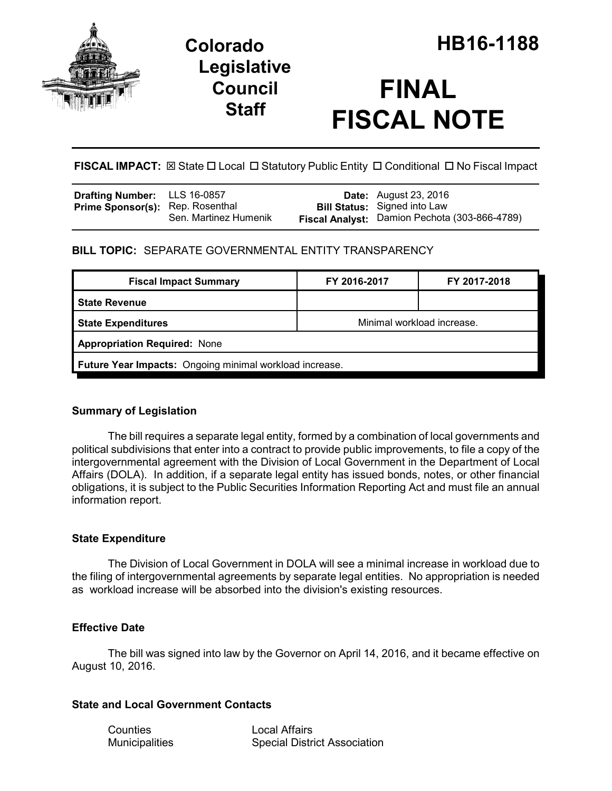

## **Legislative Council Staff**

# **FINAL FISCAL NOTE**

FISCAL IMPACT:  $\boxtimes$  State  $\Box$  Local  $\Box$  Statutory Public Entity  $\Box$  Conditional  $\Box$  No Fiscal Impact

| <b>Drafting Number:</b> LLS 16-0857     |                       | <b>Date:</b> August 23, 2016                  |
|-----------------------------------------|-----------------------|-----------------------------------------------|
| <b>Prime Sponsor(s):</b> Rep. Rosenthal |                       | <b>Bill Status:</b> Signed into Law           |
|                                         | Sen. Martinez Humenik | Fiscal Analyst: Damion Pechota (303-866-4789) |

### **BILL TOPIC:** SEPARATE GOVERNMENTAL ENTITY TRANSPARENCY

| <b>Fiscal Impact Summary</b>                            | FY 2016-2017               | FY 2017-2018 |  |  |  |
|---------------------------------------------------------|----------------------------|--------------|--|--|--|
| <b>State Revenue</b>                                    |                            |              |  |  |  |
| <b>State Expenditures</b>                               | Minimal workload increase. |              |  |  |  |
| <b>Appropriation Required: None</b>                     |                            |              |  |  |  |
| Future Year Impacts: Ongoing minimal workload increase. |                            |              |  |  |  |

### **Summary of Legislation**

The bill requires a separate legal entity, formed by a combination of local governments and political subdivisions that enter into a contract to provide public improvements, to file a copy of the intergovernmental agreement with the Division of Local Government in the Department of Local Affairs (DOLA). In addition, if a separate legal entity has issued bonds, notes, or other financial obligations, it is subject to the Public Securities Information Reporting Act and must file an annual information report.

### **State Expenditure**

The Division of Local Government in DOLA will see a minimal increase in workload due to the filing of intergovernmental agreements by separate legal entities. No appropriation is needed as workload increase will be absorbed into the division's existing resources.

### **Effective Date**

The bill was signed into law by the Governor on April 14, 2016, and it became effective on August 10, 2016.

### **State and Local Government Contacts**

Counties Local Affairs

Municipalities Special District Association